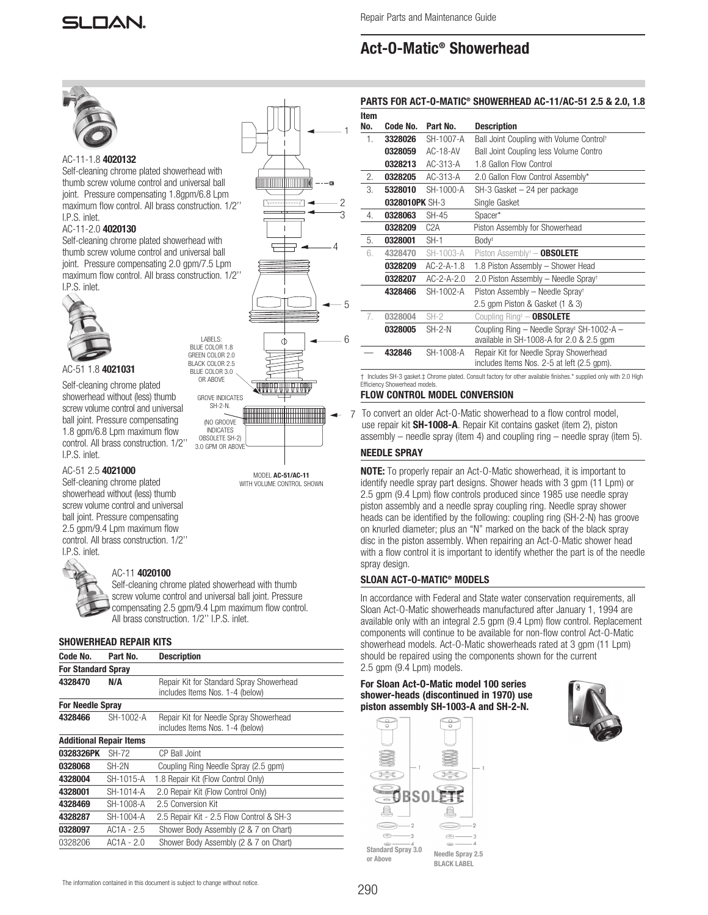# Act-O-Matic® Showerhead



# AC-11-1.8 4020132

Self-cleaning chrome plated showerhead with thumb screw volume control and universal ball joint. Pressure compensating 1.8gpm/6.8 Lpm maximum flow control. All brass construction. 1/2'' I.P.S. inlet.

## AC-11-2.0 4020130

Self-cleaning chrome plated showerhead with thumb screw volume control and universal ball joint. Pressure compensating 2.0 gpm/7.5 Lpm maximum flow control. All brass construction. 1/2'' I.P.S. inlet.



# AC-51 1.8 4021031

Self-cleaning chrome plated showerhead without (less) thumb screw volume control and universal ball joint. Pressure compensating 1.8 gpm/6.8 Lpm maximum flow control. All brass construction. 1/2'' I.P.S. inlet.

### AC-51 2.5 4021000

Self-cleaning chrome plated showerhead without (less) thumb screw volume control and universal ball joint. Pressure compensating 2.5 gpm/9.4 Lpm maximum flow control. All brass construction. 1/2'' I.P.S. inlet.



# AC-11 4020100

Self-cleaning chrome plated showerhead with thumb screw volume control and universal ball joint. Pressure compensating 2.5 gpm/9.4 Lpm maximum flow control. All brass construction. 1/2'' I.P.S. inlet.

# SHOWERHEAD REPAIR KITS

|                           |                                |                                                                             | ,,,,,,,,,,,,,,,,,,,,,,,,,             |
|---------------------------|--------------------------------|-----------------------------------------------------------------------------|---------------------------------------|
| Code No.                  | Part No.                       | <b>Description</b>                                                          | should be repair                      |
| <b>For Standard Spray</b> |                                |                                                                             | 2.5 gpm (9.4 Lp                       |
| 4328470                   | N/A                            | Repair Kit for Standard Spray Showerhead<br>includes Items Nos. 1-4 (below) | <b>For Sloan Act-</b><br>shower-heads |
| <b>For Needle Spray</b>   |                                |                                                                             | piston assemb                         |
| 4328466                   | SH-1002-A                      | Repair Kit for Needle Spray Showerhead<br>includes Items Nos. 1-4 (below)   | $\circ$                               |
|                           | <b>Additional Repair Items</b> |                                                                             |                                       |
| 0328326PK                 | SH-72                          | CP Ball Joint                                                               |                                       |
| 0328068                   | SH-2N                          | Coupling Ring Needle Spray (2.5 gpm)                                        |                                       |
| 4328004                   | SH-1015-A                      | 1.8 Repair Kit (Flow Control Only)                                          |                                       |
| 4328001                   | SH-1014-A                      | 2.0 Repair Kit (Flow Control Only)                                          |                                       |
| 4328469                   | SH-1008-A                      | 2.5 Conversion Kit                                                          |                                       |
| 4328287                   | SH-1004-A                      | 2.5 Repair Kit - 2.5 Flow Control & SH-3                                    |                                       |
| 0328097                   | $AC1A - 2.5$                   | Shower Body Assembly (2 & 7 on Chart)                                       |                                       |
| 0328206                   | AC1A - 2.0                     | Shower Body Assembly (2 & 7 on Chart)                                       | <b>Standard Spray 3.0</b>             |



MODEL AC-51/AC-11 WITH VOLUME CONTROL SHOWN

1. 3328026 SH-1007-A Ball Joint Coupling with Volume Control† 0328059 AC-18-AV Ball Joint Coupling less Volume Contro 0328213 AC-313-A 1.8 Gallon Flow Control 2. **0328205** AC-313-A 2.0 Gallon Flow Control Assembly\* 3. 5328010 SH-1000-A SH-3 Gasket – 24 per package 0328010PK SH-3 Single Gasket 4. 0328063 SH-45 Spacer\* **0328209** C2A Piston Assembly for Showerhead 5. **0328001** SH-1 Body<sup>‡</sup> 6. 4328470 SH-1003-A Piston Assembly† **OBSOLETE**  0328209 AC-2-A-1.8 1.8 Piston Assembly – Shower Head 0328207 AC-2-A-2.0 2.0 Piston Assembly – Needle Spray† 4328466 SH-1002-A Piston Assembly – Needle Spray 2.5 gpm Piston & Gasket (1 & 3) 7. **0328004** SH-2 Coupling Ring<sup>‡</sup> – **OBSOLETE**  $0328005$  SH-2-N Coupling Ring – Needle Spray<sup>‡</sup> SH-1002-A – available in SH-1008-A for 2.0 & 2.5 gpm 432846 SH-1008-A Repair Kit for Needle Spray Showerhead includes Items Nos. 2-5 at left (2.5 gpm).

#### † Includes SH-3 gasket.‡ Chrome plated. Consult factory for other available finishes.\* supplied only with 2.0 High Efficiency Showerhead models.

# FLOW CONTROL MODEL CONVERSION

To convert an older Act-O-Matic showerhead to a flow control model, use repair kit SH-1008-A. Repair Kit contains gasket (item 2), piston assembly – needle spray (item 4) and coupling ring – needle spray (item 5).

# NEEDLE SPRAY

**NOTE:** To properly repair an Act-O-Matic showerhead, it is important to identify needle spray part designs. Shower heads with 3 gpm (11 Lpm) or 2.5 gpm (9.4 Lpm) flow controls produced since 1985 use needle spray piston assembly and a needle spray coupling ring. Needle spray shower heads can be identified by the following: coupling ring (SH-2-N) has groove on knurled diameter; plus an "N" marked on the back of the black spray disc in the piston assembly. When repairing an Act-O-Matic shower head with a flow control it is important to identify whether the part is of the needle spray design.

# SLOAN ACT-O-MATIC® MODELS

In accordance with Federal and State water conservation requirements, all Sloan Act-O-Matic showerheads manufactured after January 1, 1994 are available only with an integral 2.5 gpm (9.4 Lpm) flow control. Replacement components will continue to be available for non-flow control Act-O-Matic showerhead models. Act-O-Matic showerheads rated at 3 gpm (11 Lpm) should be repaired using the components shown for the current 2.5 gpm (9.4 Lpm) models.

For Sloan Act-O-Matic model 100 series shower-heads (discontinued in 1970) use piston assembly SH-1003-A and SH-2-N.





# PARTS FOR ACT-O-MATIC® SHOWERHEAD AC-11/AC-51 2.5 & 2.0, 1.8